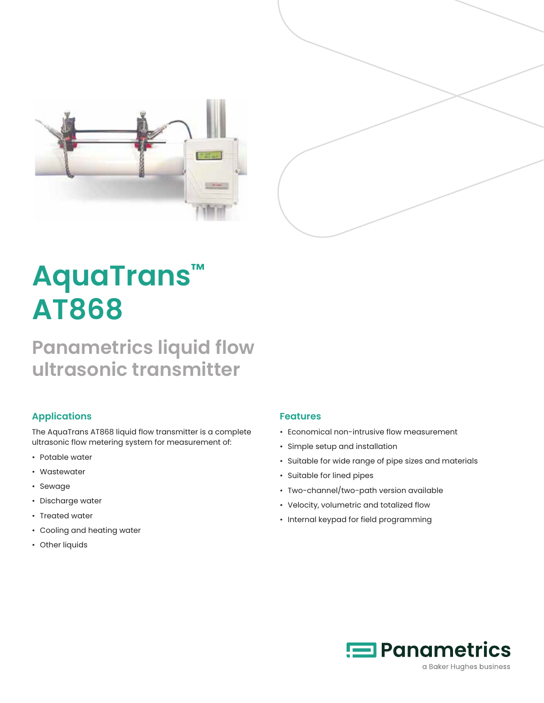



# **AquaTrans™ AT868**

# **Panametrics liquid flow ultrasonic transmitter**

#### **Applications**

The AquaTrans AT868 liquid flow transmitter is a complete ultrasonic flow metering system for measurement of:

- Potable water
- Wastewater
- Sewage
- Discharge water
- Treated water
- Cooling and heating water
- Other liquids

#### **Features**

- Economical non-intrusive flow measurement
- Simple setup and installation
- Suitable for wide range of pipe sizes and materials
- Suitable for lined pipes
- Two-channel/two-path version available
- Velocity, volumetric and totalized flow
- Internal keypad for field programming

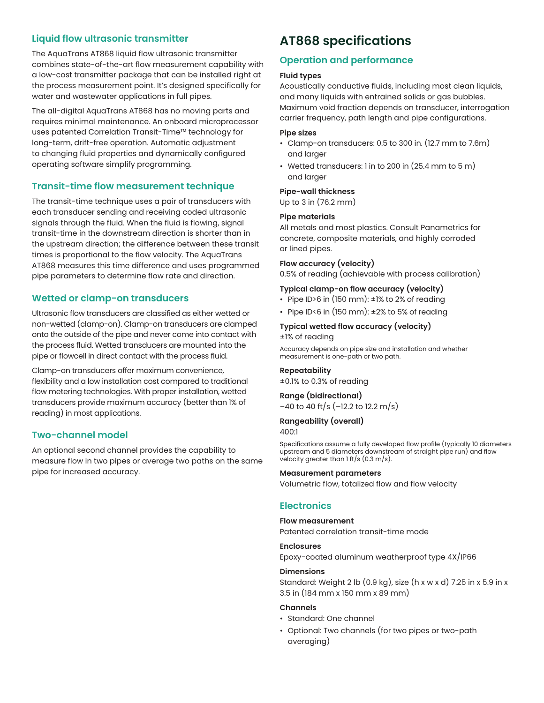#### **Liquid flow ultrasonic transmitter**

The AquaTrans AT868 liquid flow ultrasonic transmitter combines state-of-the-art flow measurement capability with a low-cost transmitter package that can be installed right at the process measurement point. It's designed specifically for water and wastewater applications in full pipes.

The all-digital AquaTrans AT868 has no moving parts and requires minimal maintenance. An onboard microprocessor uses patented Correlation Transit-Time™ technology for long-term, drift-free operation. Automatic adjustment to changing fluid properties and dynamically configured operating software simplify programming.

#### **Transit-time flow measurement technique**

The transit-time technique uses a pair of transducers with each transducer sending and receiving coded ultrasonic signals through the fluid. When the fluid is flowing, signal transit-time in the downstream direction is shorter than in the upstream direction; the difference between these transit times is proportional to the flow velocity. The AquaTrans AT868 measures this time difference and uses programmed pipe parameters to determine flow rate and direction.

#### **Wetted or clamp-on transducers**

Ultrasonic flow transducers are classified as either wetted or non-wetted (clamp-on). Clamp-on transducers are clamped onto the outside of the pipe and never come into contact with the process fluid. Wetted transducers are mounted into the pipe or flowcell in direct contact with the process fluid.

Clamp-on transducers offer maximum convenience, flexibility and a low installation cost compared to traditional flow metering technologies. With proper installation, wetted transducers provide maximum accuracy (better than 1% of reading) in most applications.

#### **Two-channel model**

An optional second channel provides the capability to measure flow in two pipes or average two paths on the same pipe for increased accuracy.

### **AT868 specifications**

#### **Operation and performance**

#### **Fluid types**

Acoustically conductive fluids, including most clean liquids, and many liquids with entrained solids or gas bubbles. Maximum void fraction depends on transducer, interrogation carrier frequency, path length and pipe configurations.

#### **Pipe sizes**

- Clamp-on transducers: 0.5 to 300 in. (12.7 mm to 7.6m) and larger
- Wetted transducers: 1 in to 200 in (25.4 mm to 5 m) and larger

#### **Pipe-wall thickness**

Up to 3 in (76.2 mm)

#### **Pipe materials**

All metals and most plastics. Consult Panametrics for concrete, composite materials, and highly corroded or lined pipes.

#### **Flow accuracy (velocity)**

0.5% of reading (achievable with process calibration)

#### **Typical clamp-on flow accuracy (velocity)**

- Pipe ID>6 in (150 mm):  $\pm$ 1% to 2% of reading
- Pipe ID<6 in (150 mm): ±2% to 5% of reading

#### **Typical wetted flow accuracy (velocity)** ±1% of reading

Accuracy depends on pipe size and installation and whether measurement is one-path or two path.

#### **Repeatability**

±0.1% to 0.3% of reading

#### **Range (bidirectional)**

–40 to 40 ft/s (–12.2 to 12.2 m/s)

#### **Rangeability (overall)** 400:1

Specifications assume a fully developed flow profile (typically 10 diameters upstream and 5 diameters downstream of straight pipe run) and flow velocity greater than 1 ft/s (0.3 m/s).

#### **Measurement parameters**

Volumetric flow, totalized flow and flow velocity

#### **Electronics**

#### **Flow measurement**

Patented correlation transit-time mode

#### **Enclosures**

Epoxy-coated aluminum weatherproof type 4X/IP66

#### **Dimensions**

Standard: Weight 2 lb (0.9 kg), size (h x w x d) 7.25 in x 5.9 in x 3.5 in (184 mm x 150 mm x 89 mm)

#### **Channels**

- Standard: One channel
- Optional: Two channels (for two pipes or two-path averaging)